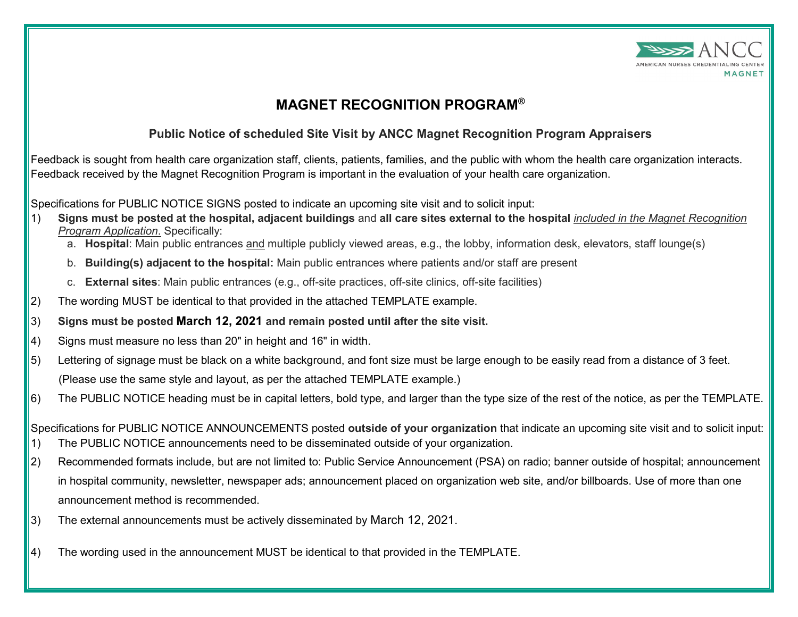

## **MAGNET RECOGNITION PROGRAM®**

## **Public Notice of scheduled Site Visit by ANCC Magnet Recognition Program Appraisers**

Feedback is sought from health care organization staff, clients, patients, families, and the public with whom the health care organization interacts. Feedback received by the Magnet Recognition Program is important in the evaluation of your health care organization.

Specifications for PUBLIC NOTICE SIGNS posted to indicate an upcoming site visit and to solicit input:

- 1) **Signs must be posted at the hospital, adjacent buildings** and **all care sites external to the hospital** *included in the Magnet Recognition Program Application*. Specifically:
	- a. **Hospital**: Main public entrances and multiple publicly viewed areas, e.g., the lobby, information desk, elevators, staff lounge(s)
	- b. **Building(s) adjacent to the hospital:** Main public entrances where patients and/or staff are present
	- c. **External sites**: Main public entrances (e.g., off-site practices, off-site clinics, off-site facilities)
- 2) The wording MUST be identical to that provided in the attached TEMPLATE example.
- 3) **Signs must be posted March 12, 2021 and remain posted until after the site visit.**
- 4) Signs must measure no less than 20" in height and 16" in width.
- $|5|$  Lettering of signage must be black on a white background, and font size must be large enough to be easily read from a distance of 3 feet. (Please use the same style and layout, as per the attached TEMPLATE example.)
- 6) The PUBLIC NOTICE heading must be in capital letters, bold type, and larger than the type size of the rest of the notice, as per the TEMPLATE.

Specifications for PUBLIC NOTICE ANNOUNCEMENTS posted **outside of your organization** that indicate an upcoming site visit and to solicit input: 1) The PUBLIC NOTICE announcements need to be disseminated outside of your organization.

- 2) Recommended formats include, but are not limited to: Public Service Announcement (PSA) on radio; banner outside of hospital; announcement in hospital community, newsletter, newspaper ads; announcement placed on organization web site, and/or billboards. Use of more than one announcement method is recommended.
- 3) The external announcements must be actively disseminated by March 12, 2021.
- 4) The wording used in the announcement MUST be identical to that provided in the TEMPLATE.